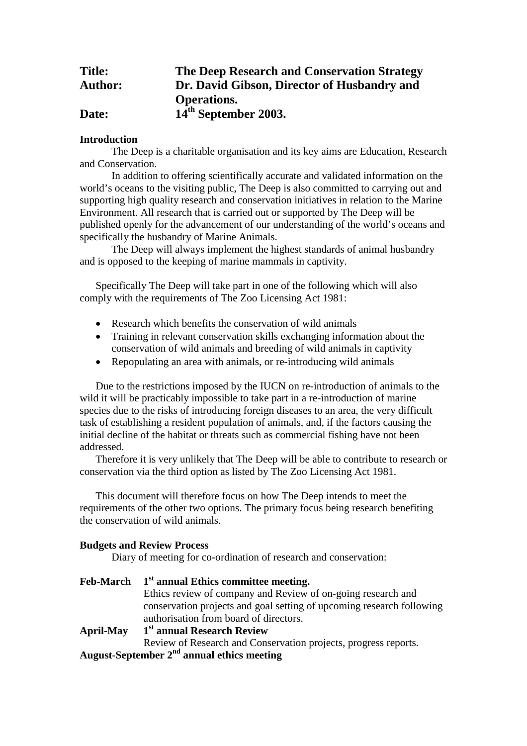| <b>Title:</b>  | <b>The Deep Research and Conservation Strategy</b> |
|----------------|----------------------------------------------------|
| <b>Author:</b> | Dr. David Gibson, Director of Husbandry and        |
|                | <b>Operations.</b>                                 |
| Date:          | 14 <sup>th</sup> September 2003.                   |

# **Introduction**

The Deep is a charitable organisation and its key aims are Education, Research and Conservation.

In addition to offering scientifically accurate and validated information on the world's oceans to the visiting public, The Deep is also committed to carrying out and supporting high quality research and conservation initiatives in relation to the Marine Environment. All research that is carried out or supported by The Deep will be published openly for the advancement of our understanding of the world's oceans and specifically the husbandry of Marine Animals.

The Deep will always implement the highest standards of animal husbandry and is opposed to the keeping of marine mammals in captivity.

Specifically The Deep will take part in one of the following which will also comply with the requirements of The Zoo Licensing Act 1981:

- Research which benefits the conservation of wild animals
- Training in relevant conservation skills exchanging information about the conservation of wild animals and breeding of wild animals in captivity
- Repopulating an area with animals, or re-introducing wild animals

Due to the restrictions imposed by the IUCN on re-introduction of animals to the wild it will be practicably impossible to take part in a re-introduction of marine species due to the risks of introducing foreign diseases to an area, the very difficult task of establishing a resident population of animals, and, if the factors causing the initial decline of the habitat or threats such as commercial fishing have not been addressed.

Therefore it is very unlikely that The Deep will be able to contribute to research or conservation via the third option as listed by The Zoo Licensing Act 1981.

This document will therefore focus on how The Deep intends to meet the requirements of the other two options. The primary focus being research benefiting the conservation of wild animals.

## **Budgets and Review Process**

Diary of meeting for co-ordination of research and conservation:

|                  | Feb-March $1st$ annual Ethics committee meeting.                      |
|------------------|-----------------------------------------------------------------------|
|                  | Ethics review of company and Review of on-going research and          |
|                  | conservation projects and goal setting of upcoming research following |
|                  | authorisation from board of directors.                                |
| <b>April-May</b> | 1 <sup>st</sup> annual Research Review                                |
|                  | Review of Research and Conservation projects, progress reports.       |
|                  | August-September $2nd$ annual ethics meeting                          |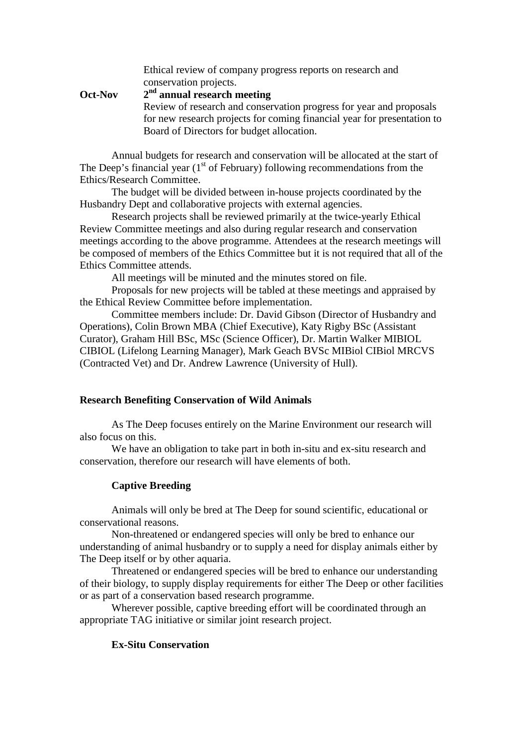|                | Ethical review of company progress reports on research and              |
|----------------|-------------------------------------------------------------------------|
|                | conservation projects.                                                  |
| <b>Oct-Nov</b> | $2nd$ annual research meeting                                           |
|                | Review of research and conservation progress for year and proposals     |
|                | for new research projects for coming financial year for presentation to |
|                | Board of Directors for budget allocation.                               |

Annual budgets for research and conservation will be allocated at the start of The Deep's financial year  $(1<sup>st</sup>$  of February) following recommendations from the Ethics/Research Committee.

The budget will be divided between in-house projects coordinated by the Husbandry Dept and collaborative projects with external agencies.

Research projects shall be reviewed primarily at the twice-yearly Ethical Review Committee meetings and also during regular research and conservation meetings according to the above programme. Attendees at the research meetings will be composed of members of the Ethics Committee but it is not required that all of the Ethics Committee attends.

All meetings will be minuted and the minutes stored on file.

Proposals for new projects will be tabled at these meetings and appraised by the Ethical Review Committee before implementation.

Committee members include: Dr. David Gibson (Director of Husbandry and Operations), Colin Brown MBA (Chief Executive), Katy Rigby BSc (Assistant Curator), Graham Hill BSc, MSc (Science Officer), Dr. Martin Walker MIBIOL CIBIOL (Lifelong Learning Manager), Mark Geach BVSc MIBiol CIBiol MRCVS (Contracted Vet) and Dr. Andrew Lawrence (University of Hull).

#### **Research Benefiting Conservation of Wild Animals**

As The Deep focuses entirely on the Marine Environment our research will also focus on this.

We have an obligation to take part in both in-situ and ex-situ research and conservation, therefore our research will have elements of both.

### **Captive Breeding**

Animals will only be bred at The Deep for sound scientific, educational or conservational reasons.

Non-threatened or endangered species will only be bred to enhance our understanding of animal husbandry or to supply a need for display animals either by The Deep itself or by other aquaria.

Threatened or endangered species will be bred to enhance our understanding of their biology, to supply display requirements for either The Deep or other facilities or as part of a conservation based research programme.

Wherever possible, captive breeding effort will be coordinated through an appropriate TAG initiative or similar joint research project.

## **Ex-Situ Conservation**